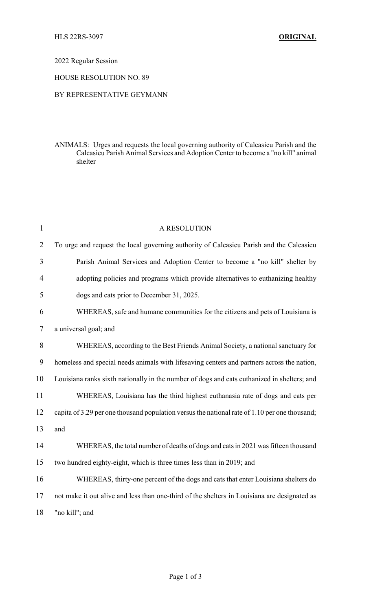## 2022 Regular Session

## HOUSE RESOLUTION NO. 89

## BY REPRESENTATIVE GEYMANN

ANIMALS: Urges and requests the local governing authority of Calcasieu Parish and the Calcasieu Parish Animal Services and Adoption Center to become a "no kill" animal shelter

| 1              | A RESOLUTION                                                                                  |
|----------------|-----------------------------------------------------------------------------------------------|
| $\overline{2}$ | To urge and request the local governing authority of Calcasieu Parish and the Calcasieu       |
| 3              | Parish Animal Services and Adoption Center to become a "no kill" shelter by                   |
| 4              | adopting policies and programs which provide alternatives to euthanizing healthy              |
| 5              | dogs and cats prior to December 31, 2025.                                                     |
| 6              | WHEREAS, safe and humane communities for the citizens and pets of Louisiana is                |
| 7              | a universal goal; and                                                                         |
| 8              | WHEREAS, according to the Best Friends Animal Society, a national sanctuary for               |
| 9              | homeless and special needs animals with lifesaving centers and partners across the nation,    |
| 10             | Louisiana ranks sixth nationally in the number of dogs and cats euthanized in shelters; and   |
| 11             | WHEREAS, Louisiana has the third highest euthanasia rate of dogs and cats per                 |
| 12             | capita of 3.29 per one thousand population versus the national rate of 1.10 per one thousand; |
| 13             | and                                                                                           |
| 14             | WHEREAS, the total number of deaths of dogs and cats in 2021 was fifteen thousand             |
| 15             | two hundred eighty-eight, which is three times less than in 2019; and                         |
| 16             | WHEREAS, thirty-one percent of the dogs and cats that enter Louisiana shelters do             |
| 17             | not make it out alive and less than one-third of the shelters in Louisiana are designated as  |
| 18             | "no kill"; and                                                                                |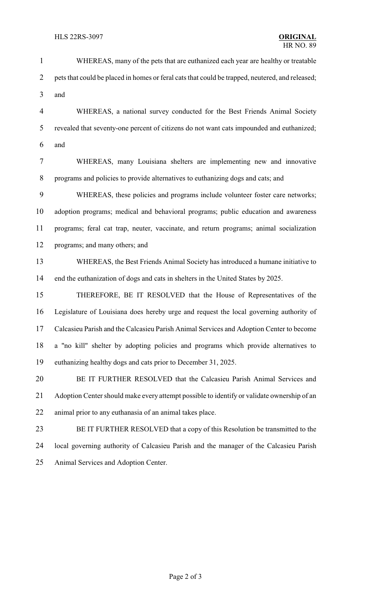2 pets that could be placed in homes or feral cats that could be trapped, neutered, and released; and WHEREAS, a national survey conducted for the Best Friends Animal Society revealed that seventy-one percent of citizens do not want cats impounded and euthanized; and WHEREAS, many Louisiana shelters are implementing new and innovative programs and policies to provide alternatives to euthanizing dogs and cats; and WHEREAS, these policies and programs include volunteer foster care networks; adoption programs; medical and behavioral programs; public education and awareness programs; feral cat trap, neuter, vaccinate, and return programs; animal socialization programs; and many others; and WHEREAS, the Best Friends Animal Society has introduced a humane initiative to end the euthanization of dogs and cats in shelters in the United States by 2025. THEREFORE, BE IT RESOLVED that the House of Representatives of the Legislature of Louisiana does hereby urge and request the local governing authority of Calcasieu Parish and the Calcasieu Parish Animal Services and Adoption Center to become a "no kill" shelter by adopting policies and programs which provide alternatives to euthanizing healthy dogs and cats prior to December 31, 2025. BE IT FURTHER RESOLVED that the Calcasieu Parish Animal Services and 21 Adoption Center should make every attempt possible to identify or validate ownership of an animal prior to any euthanasia of an animal takes place. BE IT FURTHER RESOLVED that a copy of this Resolution be transmitted to the local governing authority of Calcasieu Parish and the manager of the Calcasieu Parish

WHEREAS, many of the pets that are euthanized each year are healthy or treatable

Animal Services and Adoption Center.